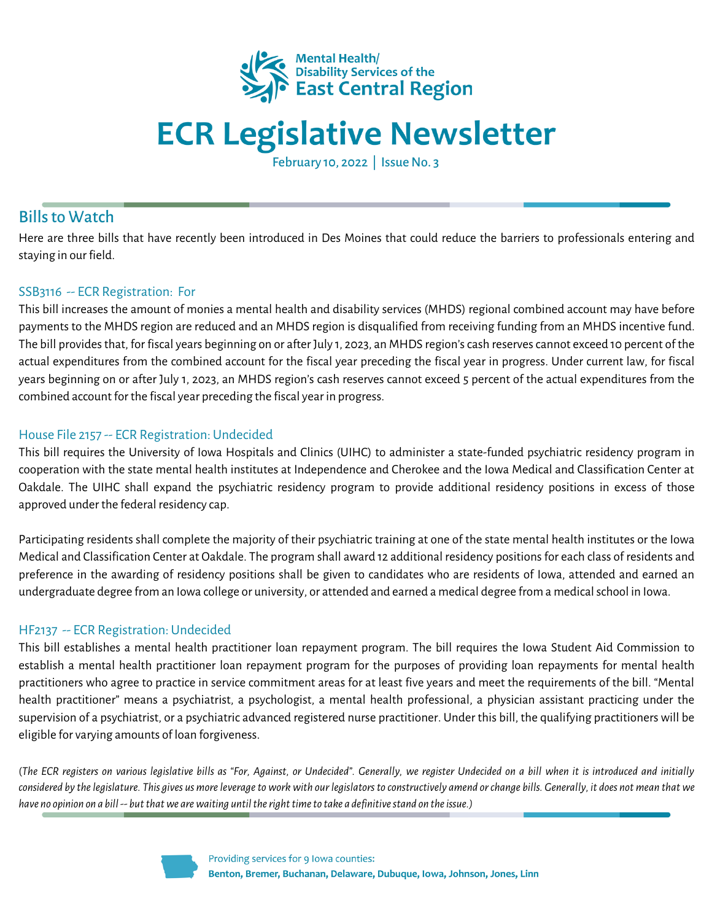

# **ECR Legislative Newsletter**

February 10, 2022 | Issue No. 3

## **Bills to Watch**

Here are three bills that have recently been introduced in Des Moines that could reduce the barriers to professionals entering and staying in our field.

### SSB3116 -- ECR Registration: For

This bill increases the amount of monies a mental health and disability services (MHDS) regional combined account may have before payments to the MHDS region are reduced and an MHDS region is disqualified from receiving funding from an MHDS incentive fund. The bill provides that, for fiscal years beginning on or after July 1, 2023, an MHDS region's cash reserves cannot exceed 10 percent of the actual expenditures from the combined account for the fiscal year preceding the fiscal year in progress. Under current law, for fiscal years beginning on or after July 1, 2023, an MHDS region's cash reserves cannot exceed 5 percent of the actual expenditures from the combined account for the fiscal year preceding the fiscal year in progress.

### House File 2157 -- ECR Registration: Undecided

This bill requires the University of Iowa Hospitals and Clinics (UIHC) to administer a state-funded psychiatric residency program in cooperation with the state mental health institutes at Independence and Cherokee and the Iowa Medical and Classification Center at Oakdale. The UIHC shall expand the psychiatric residency program to provide additional residency positions in excess of those approved under the federal residency cap.

Participating residents shall complete the majority of their psychiatric training at one of the state mental health institutes or the Iowa Medical and Classification Center at Oakdale. The program shall award 12 additional residency positionsfor each class of residents and preference in the awarding of residency positions shall be given to candidates who are residents of Iowa, attended and earned an undergraduate degree from an Iowa college or university, or attended and earned a medical degree from a medicalschool in Iowa.

### HF2137 -- ECR Registration: Undecided

This bill establishes a mental health practitioner loan repayment program. The bill requires the Iowa Student Aid Commission to establish a mental health practitioner loan repayment program for the purposes of providing loan repayments for mental health practitioners who agree to practice in service commitment areas for at least five years and meet the requirements of the bill. "Mental health practitioner" means a psychiatrist, a psychologist, a mental health professional, a physician assistant practicing under the supervision of a psychiatrist, or a psychiatric advanced registered nurse practitioner. Under this bill, the qualifying practitioners will be eligible for varying amounts of loan forgiveness.

(The ECR registers on various legislative bills as "For, Against, or Undecided". Generally, we register Undecided on a bill when it is introduced and initially considered by the legislature. This gives us more leverage to work with our legislators to constructively amend or change bills. Generally, it does not mean that we *have no opinion on a bill-- butthatwe arewaiting untiltherighttimeto take a definitivestand on theissue.)*